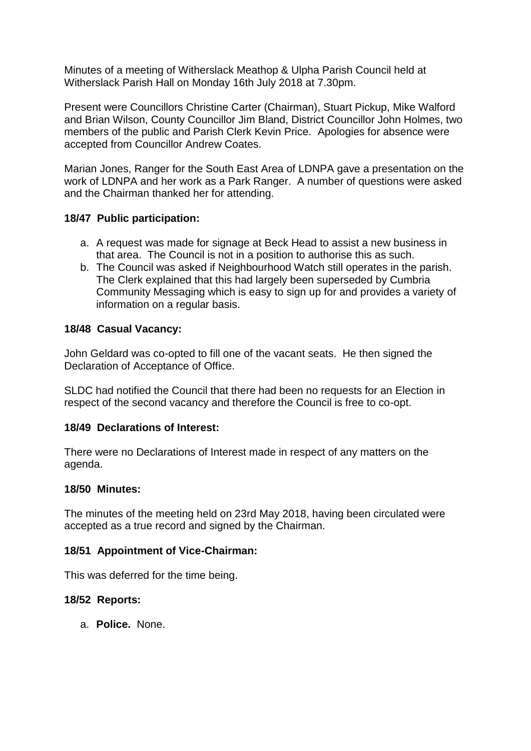Minutes of a meeting of Witherslack Meathop & Ulpha Parish Council held at Witherslack Parish Hall on Monday 16th July 2018 at 7.30pm.

Present were Councillors Christine Carter (Chairman), Stuart Pickup, Mike Walford and Brian Wilson, County Councillor Jim Bland, District Councillor John Holmes, two members of the public and Parish Clerk Kevin Price. Apologies for absence were accepted from Councillor Andrew Coates.

Marian Jones, Ranger for the South East Area of LDNPA gave a presentation on the work of LDNPA and her work as a Park Ranger. A number of questions were asked and the Chairman thanked her for attending.

### **18/47 Public participation:**

- a. A request was made for signage at Beck Head to assist a new business in that area. The Council is not in a position to authorise this as such.
- b. The Council was asked if Neighbourhood Watch still operates in the parish. The Clerk explained that this had largely been superseded by Cumbria Community Messaging which is easy to sign up for and provides a variety of information on a regular basis.

#### **18/48 Casual Vacancy:**

John Geldard was co-opted to fill one of the vacant seats. He then signed the Declaration of Acceptance of Office.

SLDC had notified the Council that there had been no requests for an Election in respect of the second vacancy and therefore the Council is free to co-opt.

### **18/49 Declarations of Interest:**

There were no Declarations of Interest made in respect of any matters on the agenda.

#### **18/50 Minutes:**

The minutes of the meeting held on 23rd May 2018, having been circulated were accepted as a true record and signed by the Chairman.

### **18/51 Appointment of Vice-Chairman:**

This was deferred for the time being.

### **18/52 Reports:**

a. **Police.** None.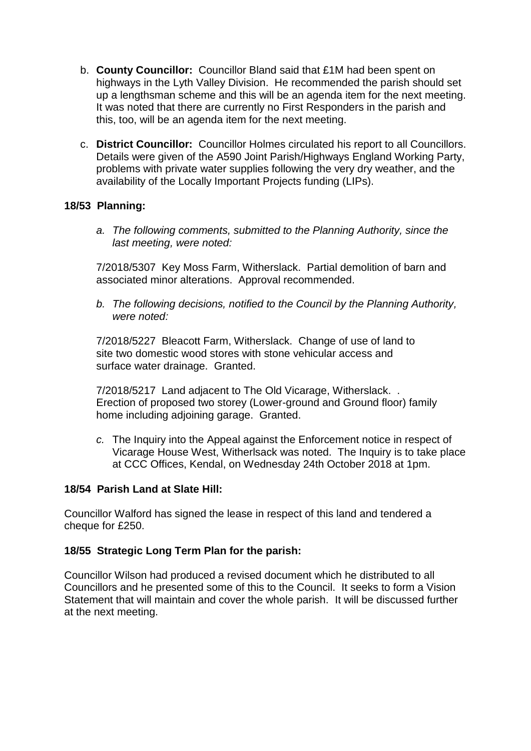- b. **County Councillor:** Councillor Bland said that £1M had been spent on highways in the Lyth Valley Division. He recommended the parish should set up a lengthsman scheme and this will be an agenda item for the next meeting. It was noted that there are currently no First Responders in the parish and this, too, will be an agenda item for the next meeting.
- c. **District Councillor:** Councillor Holmes circulated his report to all Councillors. Details were given of the A590 Joint Parish/Highways England Working Party, problems with private water supplies following the very dry weather, and the availability of the Locally Important Projects funding (LIPs).

## **18/53 Planning:**

*a. The following comments, submitted to the Planning Authority, since the last meeting, were noted:*

7/2018/5307 Key Moss Farm, Witherslack. Partial demolition of barn and associated minor alterations. Approval recommended.

*b. The following decisions, notified to the Council by the Planning Authority, were noted:*

7/2018/5227 Bleacott Farm, Witherslack. Change of use of land to site two domestic wood stores with stone vehicular access and surface water drainage. Granted.

7/2018/5217 Land adjacent to The Old Vicarage, Witherslack. . Erection of proposed two storey (Lower-ground and Ground floor) family home including adjoining garage. Granted.

*c.* The Inquiry into the Appeal against the Enforcement notice in respect of Vicarage House West, Witherlsack was noted. The Inquiry is to take place at CCC Offices, Kendal, on Wednesday 24th October 2018 at 1pm.

### **18/54 Parish Land at Slate Hill:**

Councillor Walford has signed the lease in respect of this land and tendered a cheque for £250.

### **18/55 Strategic Long Term Plan for the parish:**

Councillor Wilson had produced a revised document which he distributed to all Councillors and he presented some of this to the Council. It seeks to form a Vision Statement that will maintain and cover the whole parish. It will be discussed further at the next meeting.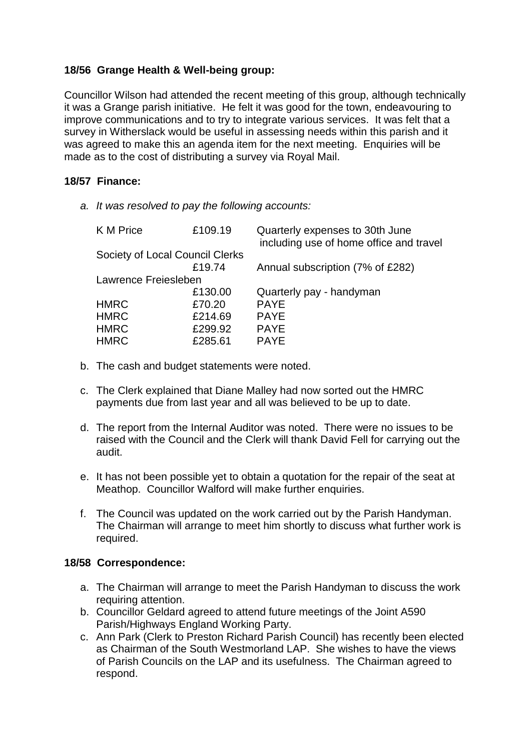# **18/56 Grange Health & Well-being group:**

Councillor Wilson had attended the recent meeting of this group, although technically it was a Grange parish initiative. He felt it was good for the town, endeavouring to improve communications and to try to integrate various services. It was felt that a survey in Witherslack would be useful in assessing needs within this parish and it was agreed to make this an agenda item for the next meeting. Enquiries will be made as to the cost of distributing a survey via Royal Mail.

## **18/57 Finance:**

*a. It was resolved to pay the following accounts:*

| K M Price                       | £109.19 | Quarterly expenses to 30th June<br>including use of home office and travel |
|---------------------------------|---------|----------------------------------------------------------------------------|
| Society of Local Council Clerks |         |                                                                            |
|                                 | £19.74  | Annual subscription (7% of £282)                                           |
| Lawrence Freiesleben            |         |                                                                            |
|                                 | £130.00 | Quarterly pay - handyman                                                   |
| <b>HMRC</b>                     | £70.20  | <b>PAYE</b>                                                                |
| <b>HMRC</b>                     | £214.69 | <b>PAYE</b>                                                                |
| <b>HMRC</b>                     | £299.92 | <b>PAYE</b>                                                                |
| <b>HMRC</b>                     | £285.61 | <b>PAYE</b>                                                                |
|                                 |         |                                                                            |

- b. The cash and budget statements were noted.
- c. The Clerk explained that Diane Malley had now sorted out the HMRC payments due from last year and all was believed to be up to date.
- d. The report from the Internal Auditor was noted. There were no issues to be raised with the Council and the Clerk will thank David Fell for carrying out the audit.
- e. It has not been possible yet to obtain a quotation for the repair of the seat at Meathop. Councillor Walford will make further enquiries.
- f. The Council was updated on the work carried out by the Parish Handyman. The Chairman will arrange to meet him shortly to discuss what further work is required.

### **18/58 Correspondence:**

- a. The Chairman will arrange to meet the Parish Handyman to discuss the work requiring attention.
- b. Councillor Geldard agreed to attend future meetings of the Joint A590 Parish/Highways England Working Party.
- c. Ann Park (Clerk to Preston Richard Parish Council) has recently been elected as Chairman of the South Westmorland LAP. She wishes to have the views of Parish Councils on the LAP and its usefulness. The Chairman agreed to respond.